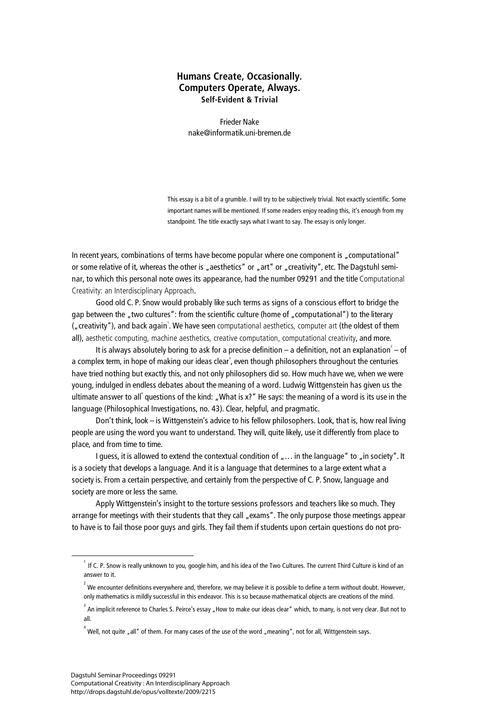## **Humans Create, Occasionally. Computers Operate, Always. Self-Evident & Trivial**

Frieder Nake nake@informatik.uni-bremen.de

This essay is a bit of a grumble. I will try to be subjectively trivial. Not exactly scientific. Some important names will be mentioned. If some readers enjoy reading this, it's enough from my standpoint. The title exactly says what I want to say. The essay is only longer.

In recent years, combinations of terms have become popular where one component is "computational" or some relative of it, whereas the other is "aesthetics" or "art" or "creativity", etc. The Dagstuhl seminar, to which this personal note owes its appearance, had the number 09291 and the title Computational Creativity: an Interdisciplinary Approach.

Good old C. P. Snow would probably like such terms as signs of a conscious effort to bridge the gap between the "two cultures": from the scientific culture (home of "computational") to the literary ("creativity"), and back again<sup>1</sup>. We have seen computational aesthetics, computer art (the oldest of them all), aesthetic computing, machine aesthetics, creative computation, computational creativity, and more.

It is always absolutely boring to ask for a precise definition – a definition, not an explanation $\degree$  – of a complex term, in hope of making our ideas clear<sup>3</sup>, even though philosophers throughout the centuries have tried nothing but exactly this, and not only philosophers did so. How much have we, when we were young, indulged in endless debates about the meaning of a word. Ludwig Wittgenstein has given us the ultimate answer to all<sup>4</sup> questions of the kind: "What is x?" He says: the meaning of a word is its use in the language (Philosophical Investigations, no. 43). Clear, helpful, and pragmatic.

Don't think, look – is Wittgenstein's advice to his fellow philosophers. Look, that is, how real living people are using the word you want to understand. They will, quite likely, use it differently from place to place, and from time to time.

I guess, it is allowed to extend the contextual condition of  $\mu$ ... in the language" to  $\mu$  in society". It is a society that develops a language. And it is a language that determines to a large extent what a society is. From a certain perspective, and certainly from the perspective of C. P. Snow, language and society are more or less the same.

Apply Wittgenstein's insight to the torture sessions professors and teachers like so much. They arrange for meetings with their students that they call "exams". The only purpose those meetings appear to have is to fail those poor guys and girls. They fail them if students upon certain questions do not pro-

 $\frac{1}{1}$  If C. P. Snow is really unknown to you, google him, and his idea of the Two Cultures. The current Third Culture is kind of an answer to it.

 $^{\rm 2}$  We encounter definitions everywhere and, therefore, we may believe it is possible to define a term without doubt. However, only mathematics is mildly successful in this endeavor. This is so because mathematical objects are creations of the mind.

 $^3$  An implicit reference to Charles S. Peirce's essay "How to make our ideas clear" which, to many, is not very clear. But not to all.

 $^4$  Well, not quite "all" of them. For many cases of the use of the word "meaning", not for all, Wittgenstein says.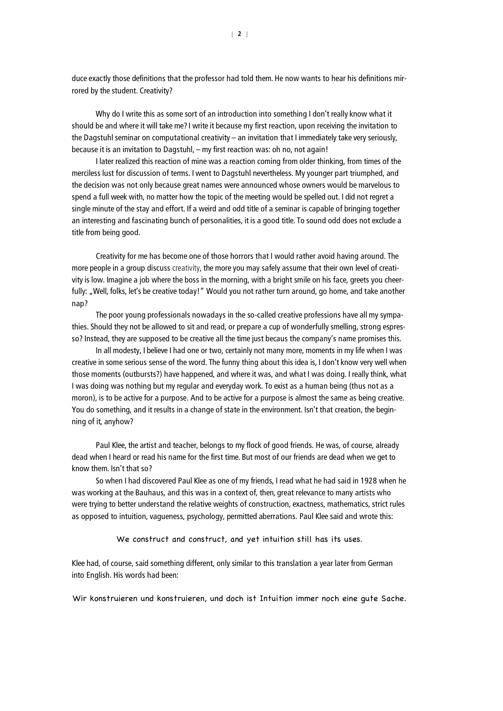duce exactly those definitions that the professor had told them. He now wants to hear his definitions mirrored by the student. Creativity?

Why do I write this as some sort of an introduction into something I don't really know what it should be and where it will take me? I write it because my first reaction, upon receiving the invitation to the Dagstuhl seminar on computational creativity – an invitation that I immediately take very seriously, because it is an invitation to Dagstuhl, – my first reaction was: oh no, not again!

I later realized this reaction of mine was a reaction coming from older thinking, from times of the merciless lust for discussion of terms. I went to Dagstuhl nevertheless. My younger part triumphed, and the decision was not only because great names were announced whose owners would be marvelous to spend a full week with, no matter how the topic of the meeting would be spelled out. I did not regret a single minute of the stay and effort. If a weird and odd title of a seminar is capable of bringing together an interesting and fascinating bunch of personalities, it is a good title. To sound odd does not exclude a title from being good.

Creativity for me has become one of those horrors that I would rather avoid having around. The more people in a group discuss creativity, the more you may safely assume that their own level of creativity is low. Imagine a job where the boss in the morning, with a bright smile on his face, greets you cheerfully: "Well, folks, let's be creative today!" Would you not rather turn around, go home, and take another nap?

The poor young professionals nowadays in the so-called creative professions have all my sympathies. Should they not be allowed to sit and read, or prepare a cup of wonderfully smelling, strong espresso? Instead, they are supposed to be creative all the time just becaus the company's name promises this.

In all modesty, I believe I had one or two, certainly not many more, moments in my life when I was creative in some serious sense of the word. The funny thing about this idea is, I don't know very well when those moments (outbursts?) have happened, and where it was, and what I was doing. I really think, what I was doing was nothing but my regular and everyday work. To exist as a human being (thus not as a moron), is to be active for a purpose. And to be active for a purpose is almost the same as being creative. You do something, and it results in a change of state in the environment. Isn't that creation, the beginning of it, anyhow?

Paul Klee, the artist and teacher, belongs to my flock of good friends. He was, of course, already dead when I heard or read his name for the first time. But most of our friends are dead when we get to know them. Isn't that so?

So when I had discovered Paul Klee as one of my friends, I read what he had said in 1928 when he was working at the Bauhaus, and this was in a context of, then, great relevance to many artists who were trying to better understand the relative weights of construction, exactness, mathematics, strict rules as opposed to intuition, vagueness, psychology, permitted aberrations. Paul Klee said and wrote this:

We construct and construct, and yet intuition still has its uses.

Klee had, of course, said something different, only similar to this translation a year later from German into English. His words had been:

Wir konstruieren und konstruieren, und doch ist Intuition immer noch eine gute Sache.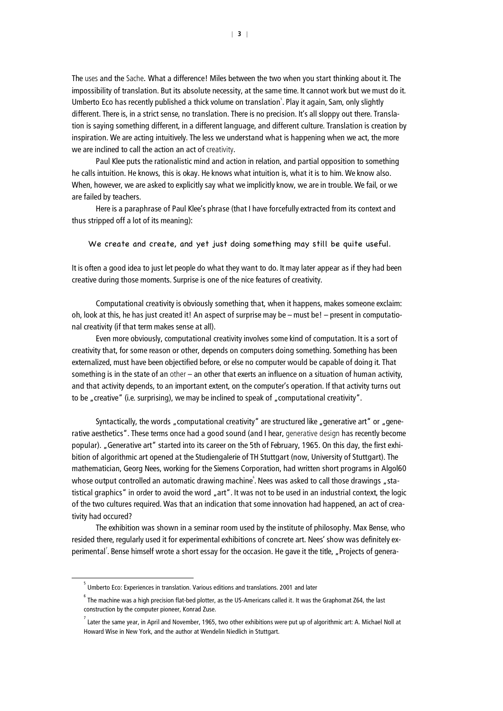The uses and the Sache*.* What a difference! Miles between the two when you start thinking about it. The impossibility of translation. But its absolute necessity, at the same time. It cannot work but we must do it. Umberto Eco has recently published a thick volume on translation 5 . Play it again, Sam, only slightly different. There is, in a strict sense, no translation. There is no precision. It's all sloppy out there. Translation is saying something different, in a different language, and different culture. Translation is creation by inspiration. We are acting intuitively. The less we understand what is happening when we act, the more we are inclined to call the action an act of creativity.

Paul Klee puts the rationalistic mind and action in relation, and partial opposition to something he calls intuition. He knows, this is okay. He knows what intuition is, what it is to him. We know also. When, however, we are asked to explicitly say what we implicitly know, we are in trouble. We fail, or we are failed by teachers.

Here is a paraphrase of Paul Klee's phrase (that I have forcefully extracted from its context and thus stripped off a lot of its meaning):

We create and create, and yet just doing something may still be quite useful.

It is often a good idea to just let people do what they want to do. It may later appear as if they had been creative during those moments. Surprise is one of the nice features of creativity.

Computational creativity is obviously something that, when it happens, makes someone exclaim: oh, look at this, he has just created it! An aspect of surprise may be – must be! – present in computational creativity (if that term makes sense at all).

Even more obviously, computational creativity involves some kind of computation. It is a sort of creativity that, for some reason or other, depends on computers doing something. Something has been externalized, must have been objectified before, or else no computer would be capable of doing it. That something is in the state of an other – an other that exerts an influence on a situation of human activity, and that activity depends, to an important extent, on the computer's operation. If that activity turns out to be "creative" (i.e. surprising), we may be inclined to speak of "computational creativity".

Syntactically, the words "computational creativity" are structured like "generative art" or "generative aesthetics". These terms once had a good sound (and I hear, generative design has recently become popular). "Generative art" started into its career on the 5th of February, 1965. On this day, the first exhibition of algorithmic art opened at the Studiengalerie of TH Stuttgart (now, University of Stuttgart). The mathematician, Georg Nees, working for the Siemens Corporation, had written short programs in Algol60 whose output controlled an automatic drawing machine<sup>°</sup>. Nees was asked to call those drawings "statistical graphics" in order to avoid the word "art". It was not to be used in an industrial context, the logic of the two cultures required. Was that an indication that some innovation had happened, an act of creativity had occured?

The exhibition was shown in a seminar room used by the institute of philosophy. Max Bense, who resided there, regularly used it for experimental exhibitions of concrete art. Nees' show was definitely experimental<sup>7</sup>. Bense himself wrote a short essay for the occasion. He gave it the title, "Projects of genera-

 $\overline{\phantom{0}}$  $^5$  Umberto Eco: Experiences in translation. Various editions and translations. 2001 and later

 $^{\rm 6}$  The machine was a high precision flat-bed plotter, as the US-Americans called it. It was the Graphomat Z64, the last construction by the computer pioneer, Konrad Zuse.

 $^7$  Later the same year, in April and November, 1965, two other exhibitions were put up of algorithmic art: A. Michael Noll at Howard Wise in New York, and the author at Wendelin Niedlich in Stuttgart.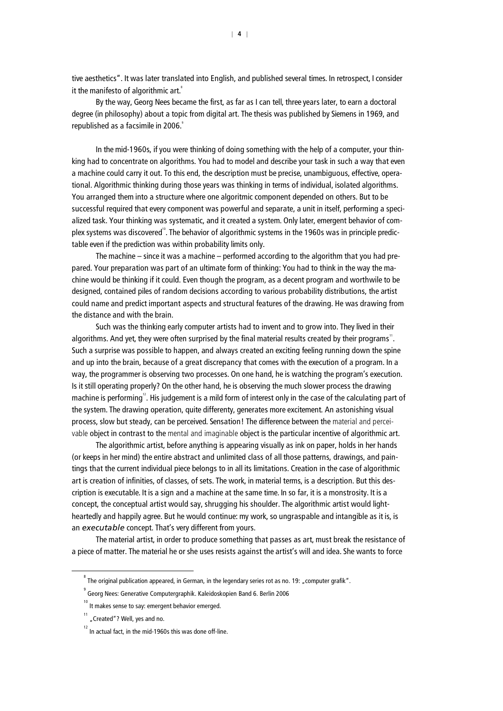tive aesthetics". It was later translated into English, and published several times. In retrospect, I consider it the manifesto of algorithmic art.<sup>8</sup>

By the way, Georg Nees became the first, as far as I can tell, three years later, to earn a doctoral degree (in philosophy) about a topic from digital art. The thesis was published by Siemens in 1969, and republished as a facsimile in 2006.

In the mid-1960s, if you were thinking of doing something with the help of a computer, your thinking had to concentrate on algorithms. You had to model and describe your task in such a way that even a machine could carry it out. To this end, the description must be precise, unambiguous, effective, operational. Algorithmic thinking during those years was thinking in terms of individual, isolated algorithms. You arranged them into a structure where one algoritmic component depended on others. But to be successful required that every component was powerful and separate, a unit in itself, performing a specialized task. Your thinking was systematic, and it created a system. Only later, emergent behavior of complex systems was discovered". The behavior of algorithmic systems in the 1960s was in principle predictable even if the prediction was within probability limits only.

The machine – since it was a machine – performed according to the algorithm that you had prepared. Your preparation was part of an ultimate form of thinking: You had to think in the way the machine would be thinking if it could. Even though the program, as a decent program and worthwile to be designed, contained piles of random decisions according to various probability distributions, the artist could name and predict important aspects and structural features of the drawing. He was drawing from the distance and with the brain.

Such was the thinking early computer artists had to invent and to grow into. They lived in their algorithms. And yet, they were often surprised by the final material results created by their programs". Such a surprise was possible to happen, and always created an exciting feeling running down the spine and up into the brain, because of a great discrepancy that comes with the execution of a program. In a way, the programmer is observing two processes. On one hand, he is watching the program's execution. Is it still operating properly? On the other hand, he is observing the much slower process the drawing machine is performing<sup>12</sup>. His judgement is a mild form of interest only in the case of the calculating part of the system. The drawing operation, quite differenty, generates more excitement. An astonishing visual process, slow but steady, can be perceived. Sensation! The difference between the material and perceivable object in contrast to the mental and imaginable object is the particular incentive of algorithmic art.

The algorithmic artist, before anything is appearing visually as ink on paper, holds in her hands (or keeps in her mind) the entire abstract and unlimited class of all those patterns, drawings, and paintings that the current individual piece belongs to in all its limitations. Creation in the case of algorithmic art is creation of infinities, of classes, of sets. The work, in material terms, is a description. But this description is executable. It is a sign and a machine at the same time. In so far, it is a monstrosity. It is a concept, the conceptual artist would say, shrugging his shoulder. The algorithmic artist would lightheartedly and happily agree. But he would continue: my work, so ungraspable and intangible as it is, is an *executable* concept. That's very different from yours.

The material artist, in order to produce something that passes as art, must break the resistance of a piece of matter. The material he or she uses resists against the artist's will and idea. She wants to force

 $\overline{\phantom{0}}$  $\degree$  The original publication appeared, in German, in the legendary series rot as no. 19: "computer grafik".

<sup>9</sup> Georg Nees: Generative Computergraphik. Kaleidoskopien Band 6. Berlin 2006

 $^{10}$  It makes sense to say: emergent behavior emerged.

 $11$  "Created"? Well, yes and no.

 $12$  In actual fact, in the mid-1960s this was done off-line.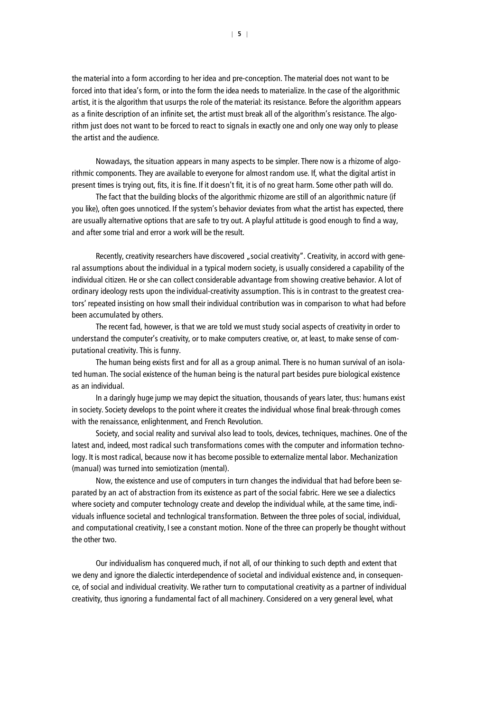the material into a form according to her idea and pre-conception. The material does not want to be forced into that idea's form, or into the form the idea needs to materialize. In the case of the algorithmic artist, it is the algorithm that usurps the role of the material: its resistance. Before the algorithm appears as a finite description of an infinite set, the artist must break all of the algorithm's resistance. The algorithm just does not want to be forced to react to signals in exactly one and only one way only to please the artist and the audience.

Nowadays, the situation appears in many aspects to be simpler. There now is a rhizome of algorithmic components. They are available to everyone for almost random use. If, what the digital artist in present times is trying out, fits, it is fine. If it doesn't fit, it is of no great harm. Some other path will do.

The fact that the building blocks of the algorithmic rhizome are still of an algorithmic nature (if you like), often goes unnoticed. If the system's behavior deviates from what the artist has expected, there are usually alternative options that are safe to try out. A playful attitude is good enough to find a way, and after some trial and error a work will be the result.

Recently, creativity researchers have discovered "social creativity". Creativity, in accord with general assumptions about the individual in a typical modern society, is usually considered a capability of the individual citizen. He or she can collect considerable advantage from showing creative behavior. A lot of ordinary ideology rests upon the individual-creativity assumption. This is in contrast to the greatest creators' repeated insisting on how small their individual contribution was in comparison to what had before been accumulated by others.

The recent fad, however, is that we are told we must study social aspects of creativity in order to understand the computer's creativity, or to make computers creative, or, at least, to make sense of computational creativity. This is funny.

The human being exists first and for all as a group animal. There is no human survival of an isolated human. The social existence of the human being is the natural part besides pure biological existence as an individual.

In a daringly huge jump we may depict the situation, thousands of years later, thus: humans exist in society. Society develops to the point where it creates the individual whose final break-through comes with the renaissance, enlightenment, and French Revolution.

Society, and social reality and survival also lead to tools, devices, techniques, machines. One of the latest and, indeed, most radical such transformations comes with the computer and information technology. It is most radical, because now it has become possible to externalize mental labor. Mechanization (manual) was turned into semiotization (mental).

Now, the existence and use of computers in turn changes the individual that had before been separated by an act of abstraction from its existence as part of the social fabric. Here we see a dialectics where society and computer technology create and develop the individual while, at the same time, individuals influence societal and technlogical transformation. Between the three poles of social, individual, and computational creativity, I see a constant motion. None of the three can properly be thought without the other two.

Our individualism has conquered much, if not all, of our thinking to such depth and extent that we deny and ignore the dialectic interdependence of societal and individual existence and, in consequence, of social and individual creativity. We rather turn to computational creativity as a partner of individual creativity, thus ignoring a fundamental fact of all machinery. Considered on a very general level, what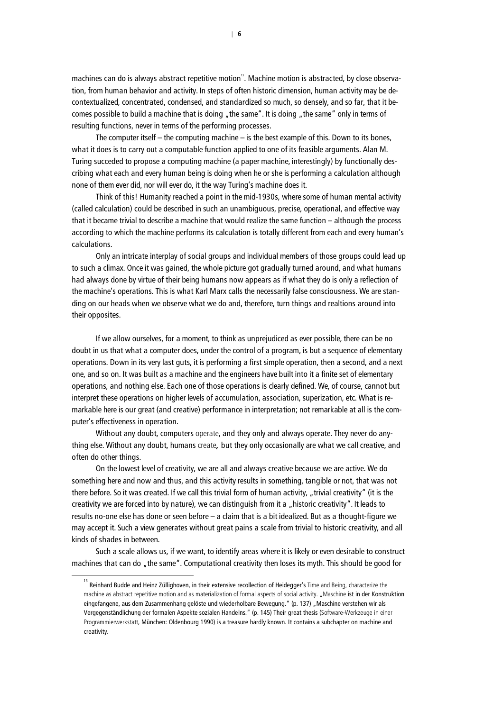machines can do is always abstract repetitive motion<sup>1</sup>. Machine motion is abstracted, by close observation, from human behavior and activity. In steps of often historic dimension, human activity may be decontextualized, concentrated, condensed, and standardized so much, so densely, and so far, that it becomes possible to build a machine that is doing "the same". It is doing "the same" only in terms of resulting functions, never in terms of the performing processes.

The computer itself  $-$  the computing machine  $-$  is the best example of this. Down to its bones, what it does is to carry out a computable function applied to one of its feasible arguments. Alan M. Turing succeded to propose a computing machine (a paper machine, interestingly) by functionally describing what each and every human being is doing when he or she is performing a calculation although none of them ever did, nor will ever do, it the way Turing's machine does it.

Think of this! Humanity reached a point in the mid-1930s, where some of human mental activity (called calculation) could be described in such an unambiguous, precise, operational, and effective way that it became trivial to describe a machine that would realize the same function – although the process according to which the machine performs its calculation is totally different from each and every human's calculations.

Only an intricate interplay of social groups and individual members of those groups could lead up to such a climax. Once it was gained, the whole picture got gradually turned around, and what humans had always done by virtue of their being humans now appears as if what they do is only a reflection of the machine's operations. This is what Karl Marx calls the necessarily false consciousness. We are standing on our heads when we observe what we do and, therefore, turn things and realtions around into their opposites.

If we allow ourselves, for a moment, to think as unprejudiced as ever possible, there can be no doubt in us that what a computer does, under the control of a program, is but a sequence of elementary operations. Down in its very last guts, it is performing a first simple operation, then a second, and a next one, and so on. It was built as a machine and the engineers have built into it a finite set of elementary operations, and nothing else. Each one of those operations is clearly defined. We, of course, cannot but interpret these operations on higher levels of accumulation, association, superization, etc. What is remarkable here is our great (and creative) performance in interpretation; not remarkable at all is the computer's effectiveness in operation.

Without any doubt, computers operate, and they only and always operate. They never do anything else. Without any doubt, humans create*,* but they only occasionally are what we call creative, and often do other things.

On the lowest level of creativity, we are all and always creative because we are active. We do something here and now and thus, and this activity results in something, tangible or not, that was not there before. So it was created. If we call this trivial form of human activity, "trivial creativity" (it is the creativity we are forced into by nature), we can distinguish from it a "historic creativity". It leads to results no-one else has done or seen before – a claim that is a bit idealized. But as a thought-figure we may accept it. Such a view generates without great pains a scale from trivial to historic creativity, and all kinds of shades in between.

Such a scale allows us, if we want, to identify areas where it is likely or even desirable to construct machines that can do "the same". Computational creativity then loses its myth. This should be good for

 $\frac{1}{13}$ <sup>13</sup> Reinhard Budde and Heinz Züllighoven, in their extensive recollection of Heidegger's Time and Being, characterize the machine as abstract repetitive motion and as materialization of formal aspects of social activity. "Maschine ist in der Konstruktion eingefangene, aus dem Zusammenhang gelöste und wiederholbare Bewegung." (p. 137) "Maschine verstehen wir als Vergegenständlichung der formalen Aspekte sozialen Handelns." (p. 145) Their great thesis (Software-Werkzeuge in einer Programmierwerkstatt, München: Oldenbourg 1990) is a treasure hardly known. It contains a subchapter on machine and creativity.